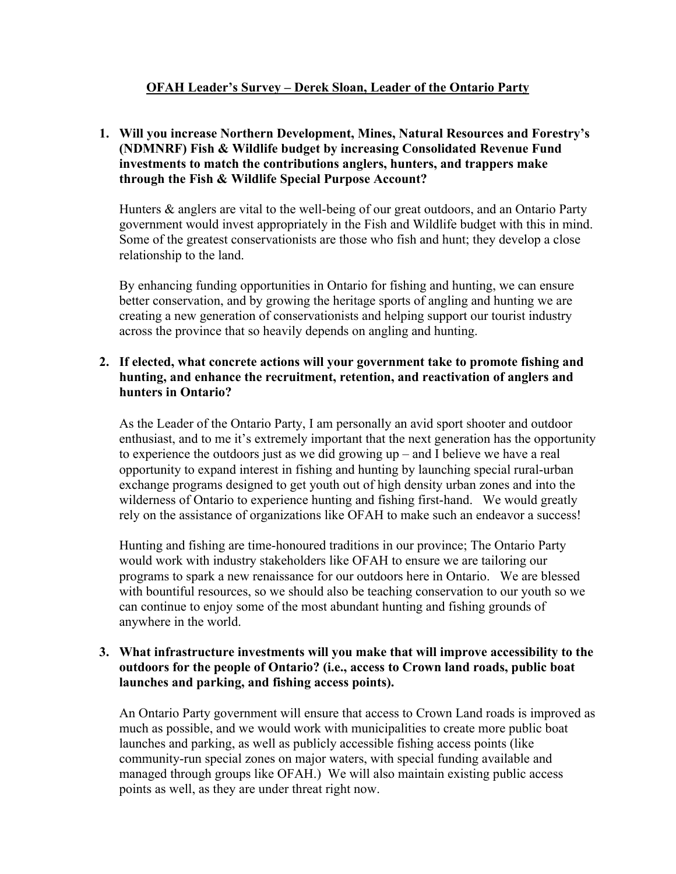# **OFAH Leader's Survey – Derek Sloan, Leader of the Ontario Party**

## **1. Will you increase Northern Development, Mines, Natural Resources and Forestry's (NDMNRF) Fish & Wildlife budget by increasing Consolidated Revenue Fund investments to match the contributions anglers, hunters, and trappers make through the Fish & Wildlife Special Purpose Account?**

Hunters & anglers are vital to the well-being of our great outdoors, and an Ontario Party government would invest appropriately in the Fish and Wildlife budget with this in mind. Some of the greatest conservationists are those who fish and hunt; they develop a close relationship to the land.

By enhancing funding opportunities in Ontario for fishing and hunting, we can ensure better conservation, and by growing the heritage sports of angling and hunting we are creating a new generation of conservationists and helping support our tourist industry across the province that so heavily depends on angling and hunting.

#### **2. If elected, what concrete actions will your government take to promote fishing and hunting, and enhance the recruitment, retention, and reactivation of anglers and hunters in Ontario?**

As the Leader of the Ontario Party, I am personally an avid sport shooter and outdoor enthusiast, and to me it's extremely important that the next generation has the opportunity to experience the outdoors just as we did growing up – and I believe we have a real opportunity to expand interest in fishing and hunting by launching special rural-urban exchange programs designed to get youth out of high density urban zones and into the wilderness of Ontario to experience hunting and fishing first-hand. We would greatly rely on the assistance of organizations like OFAH to make such an endeavor a success!

Hunting and fishing are time-honoured traditions in our province; The Ontario Party would work with industry stakeholders like OFAH to ensure we are tailoring our programs to spark a new renaissance for our outdoors here in Ontario. We are blessed with bountiful resources, so we should also be teaching conservation to our youth so we can continue to enjoy some of the most abundant hunting and fishing grounds of anywhere in the world.

## **3. What infrastructure investments will you make that will improve accessibility to the outdoors for the people of Ontario? (i.e., access to Crown land roads, public boat launches and parking, and fishing access points).**

An Ontario Party government will ensure that access to Crown Land roads is improved as much as possible, and we would work with municipalities to create more public boat launches and parking, as well as publicly accessible fishing access points (like community-run special zones on major waters, with special funding available and managed through groups like OFAH.) We will also maintain existing public access points as well, as they are under threat right now.